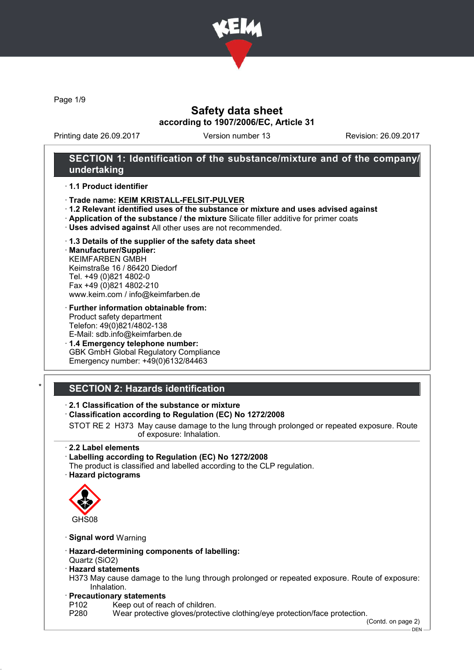

Page 1/9

# Safety data sheet according to 1907/2006/EC, Article 31

Printing date 26.09.2017 Version number 13 Revision: 26.09.2017

# SECTION 1: Identification of the substance/mixture and of the company/ undertaking

#### · 1.1 Product identifier

- · Trade name: KEIM KRISTALL-FELSIT-PULVER
- · 1.2 Relevant identified uses of the substance or mixture and uses advised against
- · Application of the substance / the mixture Silicate filler additive for primer coats
- · Uses advised against All other uses are not recommended.

#### · 1.3 Details of the supplier of the safety data sheet

· Manufacturer/Supplier: KEIMFARBEN GMBH Keimstraße 16 / 86420 Diedorf Tel. +49 (0)821 4802-0 Fax +49 (0)821 4802-210 www.keim.com / info@keimfarben.de

#### · Further information obtainable from: Product safety department Telefon: 49(0)821/4802-138 E-Mail: sdb.info@keimfarben.de

· 1.4 Emergency telephone number: GBK GmbH Global Regulatory Compliance Emergency number: +49(0)6132/84463

# **SECTION 2: Hazards identification**

#### · 2.1 Classification of the substance or mixture

#### · Classification according to Regulation (EC) No 1272/2008

STOT RE 2 H373 May cause damage to the lung through prolonged or repeated exposure. Route of exposure: Inhalation.

#### · 2.2 Label elements

#### · Labelling according to Regulation (EC) No 1272/2008

The product is classified and labelled according to the CLP regulation. · Hazard pictograms



#### · Signal word Warning

· Hazard-determining components of labelling: Quartz (SiO2)

# · Hazard statements

H373 May cause damage to the lung through prolonged or repeated exposure. Route of exposure: Inhalation.

# · **Precautionary statements**<br>P102 Keep out of rea

P102 Keep out of reach of children.<br>P280 Wear protective gloves/protec

Wear protective gloves/protective clothing/eye protection/face protection.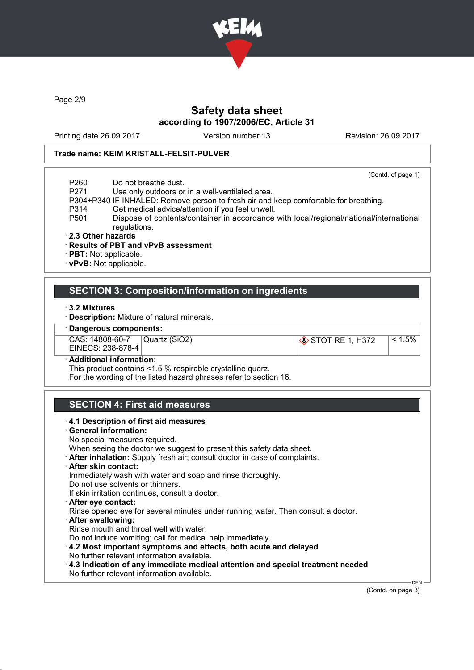

Page 2/9

# Safety data sheet according to 1907/2006/EC, Article 31

Printing date 26.09.2017 Version number 13 Revision: 26.09.2017

(Contd. of page 1)

#### Trade name: KEIM KRISTALL-FELSIT-PULVER

P260 Do not breathe dust.

P271 Use only outdoors or in a well-ventilated area.

P304+P340 IF INHALED: Remove person to fresh air and keep comfortable for breathing.

- 
- P314 Get medical advice/attention if you feel unwell.<br>P501 Dispose of contents/container in accordance Dispose of contents/container in accordance with local/regional/national/international regulations.
- · 2.3 Other hazards
- · Results of PBT and vPvB assessment
- · PBT: Not applicable.
- · vPvB: Not applicable.

# SECTION 3: Composition/information on ingredients

- · 3.2 Mixtures
- · Description: Mixture of natural minerals.

#### · Dangerous components:

| CAS: 14808-60-7   | Quartz (SiO2) | $\otimes$ STOT RE 1, H372 | 1.5%∣ |
|-------------------|---------------|---------------------------|-------|
| EINECS: 238-878-4 |               |                           |       |

#### Additional information:

This product contains <1.5 % respirable crystalline quarz.

For the wording of the listed hazard phrases refer to section 16.

# SECTION 4: First aid measures

#### · 4.1 Description of first aid measures

- · General information:
- No special measures required.
- When seeing the doctor we suggest to present this safety data sheet.
- · After inhalation: Supply fresh air; consult doctor in case of complaints.
- · After skin contact:

Immediately wash with water and soap and rinse thoroughly.

- Do not use solvents or thinners.
- If skin irritation continues, consult a doctor.
- · After eye contact:
- Rinse opened eye for several minutes under running water. Then consult a doctor.
- · After swallowing:
- Rinse mouth and throat well with water.
- Do not induce vomiting; call for medical help immediately.
- · 4.2 Most important symptoms and effects, both acute and delayed No further relevant information available.
- · 4.3 Indication of any immediate medical attention and special treatment needed No further relevant information available.

(Contd. on page 3)

**DEN**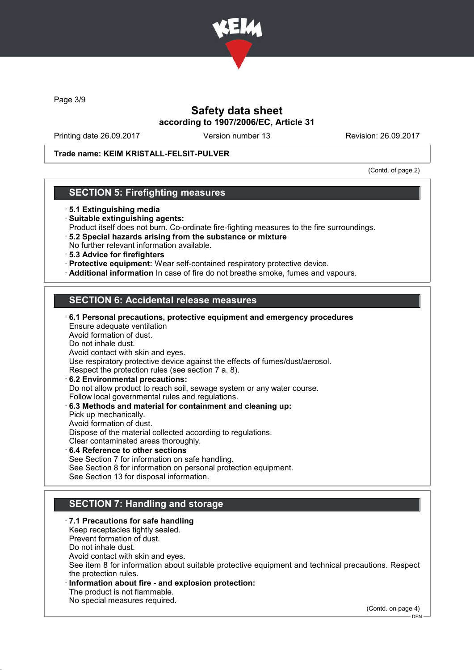

Page 3/9

# Safety data sheet according to 1907/2006/EC, Article 31

Printing date 26.09.2017 Version number 13 Revision: 26.09.2017

#### Trade name: KEIM KRISTALL-FELSIT-PULVER

(Contd. of page 2)

### SECTION 5: Firefighting measures

- · 5.1 Extinguishing media
- · Suitable extinguishing agents:
- Product itself does not burn. Co-ordinate fire-fighting measures to the fire surroundings.
- · 5.2 Special hazards arising from the substance or mixture No further relevant information available.
- · 5.3 Advice for firefighters
- · Protective equipment: Wear self-contained respiratory protective device.
- · Additional information In case of fire do not breathe smoke, fumes and vapours.

# SECTION 6: Accidental release measures

| $\cdot$ 6.1 Personal precautions, protective equipment and emergency procedures |
|---------------------------------------------------------------------------------|
| Ensure adequate ventilation                                                     |
| Avoid formation of dust.                                                        |
| Do not inhale dust.                                                             |
| Avoid contact with skin and eyes.                                               |
| Use respiratory protective device against the effects of fumes/dust/aerosol.    |
| Respect the protection rules (see section 7 a. 8).                              |
| 6.2 Environmental precautions:                                                  |
| Do not allow product to reach soil, sewage system or any water course.          |
| Follow local governmental rules and regulations.                                |
| 6.3 Methods and material for containment and cleaning up:                       |
| Pick up mechanically.                                                           |
| Avoid formation of dust.                                                        |
| Dispose of the material collected according to regulations.                     |
| Clear contaminated areas thoroughly.                                            |
| $\cdot$ 6.4 Reference to other sections                                         |
|                                                                                 |

See Section 7 for information on safe handling. See Section 8 for information on personal protection equipment. See Section 13 for disposal information.

# SECTION 7: Handling and storage

· 7.1 Precautions for safe handling Keep receptacles tightly sealed. Prevent formation of dust. Do not inhale dust. Avoid contact with skin and eyes. See item 8 for information about suitable protective equipment and technical precautions. Respect the protection rules. Information about fire - and explosion protection: The product is not flammable. No special measures required.

(Contd. on page 4)

DEN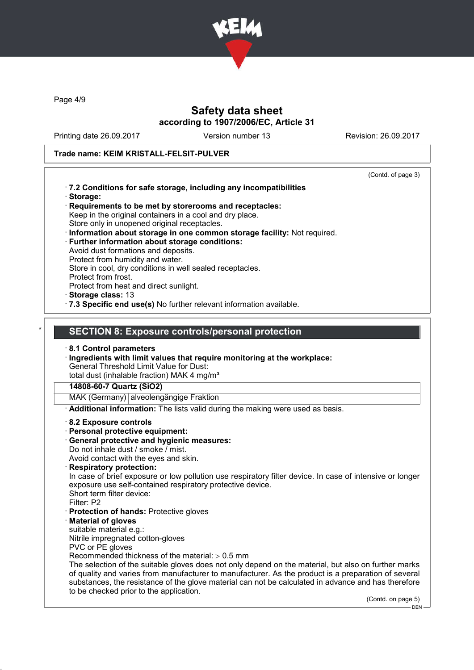

Page 4/9

# Safety data sheet according to 1907/2006/EC, Article 31

Printing date 26.09.2017 Version number 13 Revision: 26.09.2017

# Trade name: KEIM KRISTALL-FELSIT-PULVER

|                                                                                                                                   | (Contd. of page 3) |
|-----------------------------------------------------------------------------------------------------------------------------------|--------------------|
| .7.2 Conditions for safe storage, including any incompatibilities                                                                 |                    |
| · Storage:                                                                                                                        |                    |
| Requirements to be met by storerooms and receptacles:                                                                             |                    |
| Keep in the original containers in a cool and dry place.                                                                          |                    |
| Store only in unopened original receptacles.                                                                                      |                    |
| · Information about storage in one common storage facility: Not required.<br><b>Further information about storage conditions:</b> |                    |
| Avoid dust formations and deposits.                                                                                               |                    |
| Protect from humidity and water.                                                                                                  |                    |
| Store in cool, dry conditions in well sealed receptacles.                                                                         |                    |
| Protect from frost.                                                                                                               |                    |
| Protect from heat and direct sunlight.                                                                                            |                    |
| Storage class: 13                                                                                                                 |                    |
| .7.3 Specific end use(s) No further relevant information available.                                                               |                    |
|                                                                                                                                   |                    |
|                                                                                                                                   |                    |
| <b>SECTION 8: Exposure controls/personal protection</b>                                                                           |                    |
|                                                                                                                                   |                    |
| 8.1 Control parameters                                                                                                            |                    |
| · Ingredients with limit values that require monitoring at the workplace:                                                         |                    |
| <b>General Threshold Limit Value for Dust:</b>                                                                                    |                    |
| total dust (inhalable fraction) MAK 4 mg/m <sup>3</sup>                                                                           |                    |
| 14808-60-7 Quartz (SiO2)                                                                                                          |                    |
| MAK (Germany) alveolengängige Fraktion                                                                                            |                    |
| Additional information: The lists valid during the making were used as basis.                                                     |                    |
| 8.2 Exposure controls                                                                                                             |                    |
| · Personal protective equipment:                                                                                                  |                    |
| General protective and hygienic measures:                                                                                         |                    |
| Do not inhale dust / smoke / mist.                                                                                                |                    |
| Avoid contact with the eyes and skin.                                                                                             |                    |
| · Respiratory protection:                                                                                                         |                    |
| In case of brief exposure or low pollution use respiratory filter device. In case of intensive or longer                          |                    |
| exposure use self-contained respiratory protective device.                                                                        |                    |
| Short term filter device:                                                                                                         |                    |
| Filter: P2                                                                                                                        |                    |
|                                                                                                                                   |                    |
|                                                                                                                                   |                    |
| Protection of hands: Protective gloves<br><b>Material of gloves</b>                                                               |                    |
| suitable material e.g.:                                                                                                           |                    |
|                                                                                                                                   |                    |
| Nitrile impregnated cotton-gloves                                                                                                 |                    |
| PVC or PE gloves<br>Recommended thickness of the material: $\geq 0.5$ mm                                                          |                    |
| The selection of the suitable gloves does not only depend on the material, but also on further marks                              |                    |
| of quality and varies from manufacturer to manufacturer. As the product is a preparation of several                               |                    |
| substances, the resistance of the glove material can not be calculated in advance and has therefore                               |                    |
| to be checked prior to the application.                                                                                           | (Contd. on page 5) |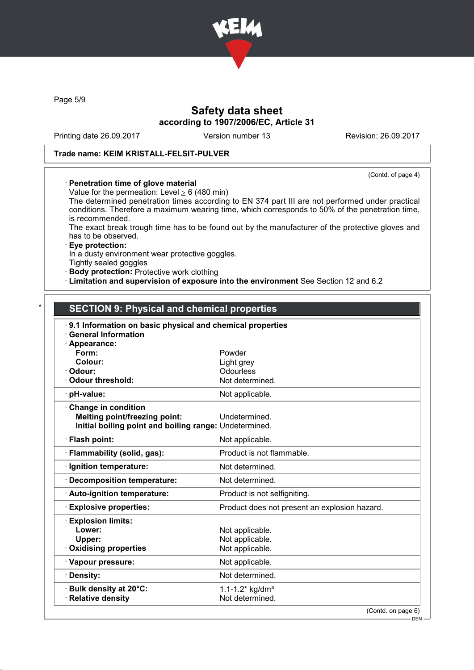

Page 5/9

# Safety data sheet according to 1907/2006/EC, Article 31

Printing date 26.09.2017 Version number 13 Revision: 26.09.2017

#### Trade name: KEIM KRISTALL-FELSIT-PULVER

(Contd. of page 4)

#### · Penetration time of glove material

Value for the permeation: Level  $\geq 6$  (480 min)

The determined penetration times according to EN 374 part III are not performed under practical conditions. Therefore a maximum wearing time, which corresponds to 50% of the penetration time, is recommended.

The exact break trough time has to be found out by the manufacturer of the protective gloves and has to be observed.

#### · Eye protection:

In a dusty environment wear protective goggles.

Tightly sealed goggles

· Body protection: Protective work clothing

· Limitation and supervision of exposure into the environment See Section 12 and 6.2

# SECTION 9: Physical and chemical properties

| 9.1 Information on basic physical and chemical properties<br><b>General Information</b> |                                               |
|-----------------------------------------------------------------------------------------|-----------------------------------------------|
| Appearance:                                                                             |                                               |
| Form:                                                                                   | Powder                                        |
| Colour:                                                                                 | Light grey                                    |
| Odour:                                                                                  | Odourless                                     |
| Odour threshold:                                                                        | Not determined.                               |
| · pH-value:                                                                             | Not applicable.                               |
| Change in condition                                                                     |                                               |
| <b>Melting point/freezing point:</b>                                                    | Undetermined.                                 |
| Initial boiling point and boiling range: Undetermined.                                  |                                               |
| · Flash point:                                                                          | Not applicable.                               |
| · Flammability (solid, gas):                                                            | Product is not flammable.                     |
| · Ignition temperature:                                                                 | Not determined.                               |
| · Decomposition temperature:                                                            | Not determined.                               |
| · Auto-ignition temperature:                                                            | Product is not selfigniting.                  |
| <b>Explosive properties:</b>                                                            | Product does not present an explosion hazard. |
| <b>Explosion limits:</b>                                                                |                                               |
| Lower:                                                                                  | Not applicable.                               |
| Upper:                                                                                  | Not applicable.                               |
| Oxidising properties                                                                    | Not applicable.                               |
| · Vapour pressure:                                                                      | Not applicable.                               |
| · Density:                                                                              | Not determined.                               |
| · Bulk density at 20°C:                                                                 | 1.1-1.2* $kg/dm3$                             |
| · Relative density                                                                      | Not determined.                               |
|                                                                                         | (Contd, on nge 6)                             |

(Contd. on page 6)

<sup>–</sup> DEN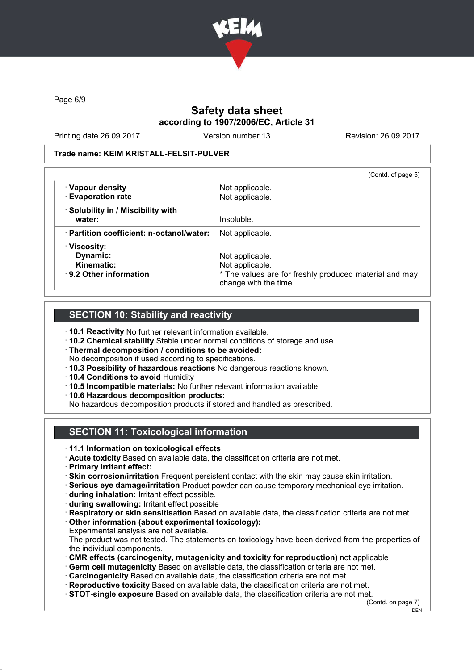

Page 6/9

# Safety data sheet according to 1907/2006/EC, Article 31

Printing date 26.09.2017 Version number 13 Revision: 26.09.2017

#### Trade name: KEIM KRISTALL-FELSIT-PULVER

|                                                 | (Contd. of page 5)                                                              |
|-------------------------------------------------|---------------------------------------------------------------------------------|
| · Vapour density                                | Not applicable.                                                                 |
| · Evaporation rate                              | Not applicable.                                                                 |
| · Solubility in / Miscibility with              |                                                                                 |
| water:                                          | Insoluble.                                                                      |
| $\cdot$ Partition coefficient: n-octanol/water: | Not applicable.                                                                 |
| · Viscosity:                                    |                                                                                 |
| Dynamic:                                        | Not applicable.                                                                 |
| Kinematic:                                      | Not applicable.                                                                 |
| $\cdot$ 9.2 Other information                   | * The values are for freshly produced material and may<br>change with the time. |

### SECTION 10: Stability and reactivity

- · 10.1 Reactivity No further relevant information available.
- · 10.2 Chemical stability Stable under normal conditions of storage and use.
- · Thermal decomposition / conditions to be avoided:
- No decomposition if used according to specifications.
- · 10.3 Possibility of hazardous reactions No dangerous reactions known.
- · 10.4 Conditions to avoid Humidity
- · 10.5 Incompatible materials: No further relevant information available.
- · 10.6 Hazardous decomposition products:

No hazardous decomposition products if stored and handled as prescribed.

# SECTION 11: Toxicological information

- · 11.1 Information on toxicological effects
- · Acute toxicity Based on available data, the classification criteria are not met.
- · Primary irritant effect:
- · Skin corrosion/irritation Frequent persistent contact with the skin may cause skin irritation.
- · Serious eye damage/irritation Product powder can cause temporary mechanical eye irritation.
- · during inhalation: Irritant effect possible.
- · during swallowing: Irritant effect possible
- · Respiratory or skin sensitisation Based on available data, the classification criteria are not met.
- · Other information (about experimental toxicology):
- Experimental analysis are not available. The product was not tested. The statements on toxicology have been derived from the properties of
- the individual components. · CMR effects (carcinogenity, mutagenicity and toxicity for reproduction) not applicable
- · Germ cell mutagenicity Based on available data, the classification criteria are not met.
- · Carcinogenicity Based on available data, the classification criteria are not met.
- · Reproductive toxicity Based on available data, the classification criteria are not met.
- · STOT-single exposure Based on available data, the classification criteria are not met.

(Contd. on page 7)  $-$  DEN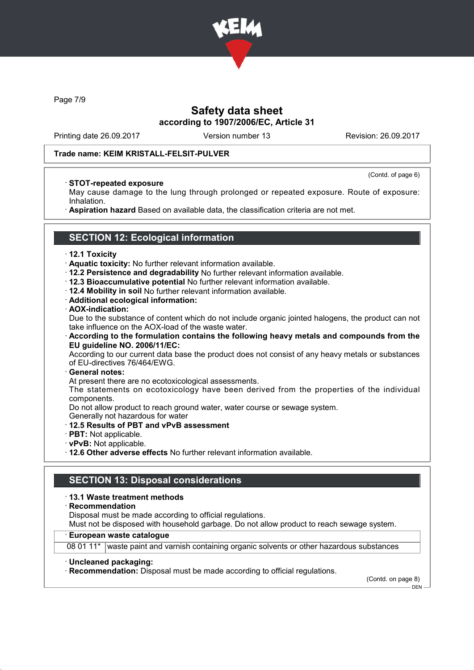

Page 7/9

# Safety data sheet according to 1907/2006/EC, Article 31

Printing date 26.09.2017 Version number 13 Revision: 26.09.2017

(Contd. of page 6)

#### Trade name: KEIM KRISTALL-FELSIT-PULVER

#### · STOT-repeated exposure

May cause damage to the lung through prolonged or repeated exposure. Route of exposure: Inhalation.

· Aspiration hazard Based on available data, the classification criteria are not met.

# SECTION 12: Ecological information

#### · 12.1 Toxicity

- · Aquatic toxicity: No further relevant information available.
- · 12.2 Persistence and degradability No further relevant information available.
- · 12.3 Bioaccumulative potential No further relevant information available.
- · 12.4 Mobility in soil No further relevant information available.
- · Additional ecological information:

#### · AOX-indication:

Due to the substance of content which do not include organic jointed halogens, the product can not take influence on the AOX-load of the waste water.

· According to the formulation contains the following heavy metals and compounds from the EU guideline NO. 2006/11/EC:

According to our current data base the product does not consist of any heavy metals or substances of EU-directives 76/464/EWG.

#### · General notes:

At present there are no ecotoxicological assessments.

The statements on ecotoxicology have been derived from the properties of the individual components.

Do not allow product to reach ground water, water course or sewage system.

Generally not hazardous for water

- · 12.5 Results of PBT and vPvB assessment
- · PBT: Not applicable.
- · vPvB: Not applicable.
- · 12.6 Other adverse effects No further relevant information available.

### SECTION 13: Disposal considerations

#### · 13.1 Waste treatment methods

· Recommendation

Disposal must be made according to official regulations.

Must not be disposed with household garbage. Do not allow product to reach sewage system.

#### · European waste catalogue

08 01 11\* waste paint and varnish containing organic solvents or other hazardous substances

#### · Uncleaned packaging:

· Recommendation: Disposal must be made according to official regulations.

(Contd. on page 8)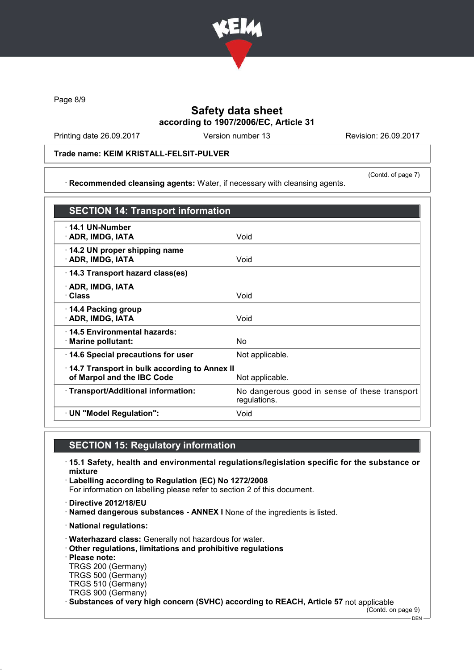

Page 8/9

# Safety data sheet according to 1907/2006/EC, Article 31

Printing date 26.09.2017 Version number 13 Revision: 26.09.2017

(Contd. of page 7)

#### Trade name: KEIM KRISTALL-FELSIT-PULVER

· Recommended cleansing agents: Water, if necessary with cleansing agents.

SECTION 14: Transport information · 14.1 UN-Number · ADR, IMDG, IATA Void · 14.2 UN proper shipping name **ADR, IMDG, IATA** Void · 14.3 Transport hazard class(es) · ADR, IMDG, IATA · Class Void · 14.4 Packing group · ADR, IMDG, IATA Void · 14.5 Environmental hazards: · Marine pollutant: No  $\cdot$  14.6 Special precautions for user Not applicable. · 14.7 Transport in bulk according to Annex II of Marpol and the IBC Code Not applicable. · Transport/Additional information: No dangerous good in sense of these transport regulations. · UN "Model Regulation": Void

# SECTION 15: Regulatory information

- · 15.1 Safety, health and environmental regulations/legislation specific for the substance or mixture
- · Labelling according to Regulation (EC) No 1272/2008 For information on labelling please refer to section 2 of this document.
- · Directive 2012/18/EU
- · Named dangerous substances ANNEX I None of the ingredients is listed.
- · National regulations:
- · Waterhazard class: Generally not hazardous for water.
- · Other regulations, limitations and prohibitive regulations
- · Please note:
- TRGS 200 (Germany) TRGS 500 (Germany)
- TRGS 510 (Germany)
- TRGS 900 (Germany)
- · Substances of very high concern (SVHC) according to REACH, Article 57 not applicable

(Contd. on page 9)

DEN